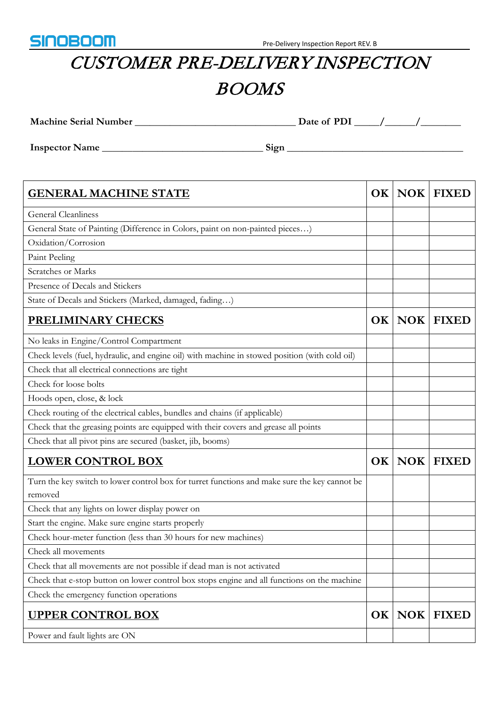

## CUSTOMER PRE-DELIVERY INSPECTION BOOMS

**Machine Serial Number \_\_\_\_\_\_\_\_\_\_\_\_\_\_\_\_\_\_\_\_\_\_\_\_\_\_\_\_\_\_\_\_ Date of PDI \_\_\_\_\_/\_\_\_\_\_\_/\_\_\_\_\_\_\_\_**

**Inspector Name \_\_\_\_\_\_\_\_\_\_\_\_\_\_\_\_\_\_\_\_\_\_\_\_\_\_\_\_\_\_\_\_ Sign \_\_\_\_\_\_\_\_\_\_\_\_\_\_\_\_\_\_\_\_\_\_\_\_\_\_\_\_\_\_\_\_\_\_\_**

| <b>GENERAL MACHINE STATE</b>                                                                             | OK        | <b>NOK</b> | <b>FIXED</b> |
|----------------------------------------------------------------------------------------------------------|-----------|------------|--------------|
| <b>General Cleanliness</b>                                                                               |           |            |              |
| General State of Painting (Difference in Colors, paint on non-painted pieces)                            |           |            |              |
| Oxidation/Corrosion                                                                                      |           |            |              |
| Paint Peeling                                                                                            |           |            |              |
| Scratches or Marks                                                                                       |           |            |              |
| Presence of Decals and Stickers                                                                          |           |            |              |
| State of Decals and Stickers (Marked, damaged, fading)                                                   |           |            |              |
| <b>PRELIMINARY CHECKS</b>                                                                                | <b>OK</b> | <b>NOK</b> | <b>FIXED</b> |
| No leaks in Engine/Control Compartment                                                                   |           |            |              |
| Check levels (fuel, hydraulic, and engine oil) with machine in stowed position (with cold oil)           |           |            |              |
| Check that all electrical connections are tight                                                          |           |            |              |
| Check for loose bolts                                                                                    |           |            |              |
| Hoods open, close, & lock                                                                                |           |            |              |
| Check routing of the electrical cables, bundles and chains (if applicable)                               |           |            |              |
| Check that the greasing points are equipped with their covers and grease all points                      |           |            |              |
| Check that all pivot pins are secured (basket, jib, booms)                                               |           |            |              |
| <b>LOWER CONTROL BOX</b>                                                                                 | OK        | <b>NOK</b> | <b>FIXED</b> |
| Turn the key switch to lower control box for turret functions and make sure the key cannot be<br>removed |           |            |              |
| Check that any lights on lower display power on                                                          |           |            |              |
| Start the engine. Make sure engine starts properly                                                       |           |            |              |
| Check hour-meter function (less than 30 hours for new machines)                                          |           |            |              |
| Check all movements                                                                                      |           |            |              |
| Check that all movements are not possible if dead man is not activated                                   |           |            |              |
| Check that e-stop button on lower control box stops engine and all functions on the machine              |           |            |              |
| Check the emergency function operations                                                                  |           |            |              |
| <b>UPPER CONTROL BOX</b>                                                                                 | <b>OK</b> | <b>NOK</b> | <b>FIXED</b> |
| Power and fault lights are ON                                                                            |           |            |              |